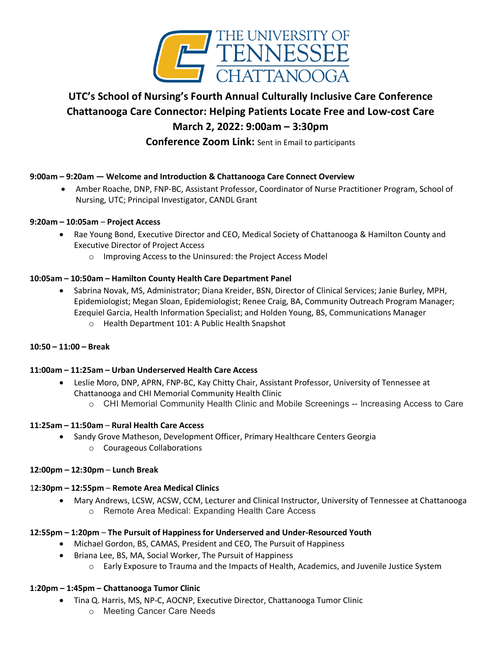

# **UTC's School of Nursing's Fourth Annual Culturally Inclusive Care Conference Chattanooga Care Connector: Helping Patients Locate Free and Low-cost Care March 2, 2022: 9:00am – 3:30pm**

**Conference Zoom Link:** Sent in Email to participants

# **9:00am – 9:20am — Welcome and Introduction & Chattanooga Care Connect Overview**

• Amber Roache, DNP, FNP-BC, Assistant Professor, Coordinator of Nurse Practitioner Program, School of Nursing, UTC; Principal Investigator, CANDL Grant

## **9:20am – 10:05am** – **Project Access**

- Rae Young Bond, Executive Director and CEO, Medical Society of Chattanooga & Hamilton County and Executive Director of Project Access
	- o Improving Access to the Uninsured: the Project Access Model

# **10:05am – 10:50am – Hamilton County Health Care Department Panel**

• Sabrina Novak, MS, Administrator; Diana Kreider, BSN, Director of Clinical Services; Janie Burley, MPH, Epidemiologist; Megan Sloan, Epidemiologist; Renee Craig, BA, Community Outreach Program Manager; Ezequiel Garcia, Health Information Specialist; and Holden Young, BS, Communications Manager o Health Department 101: A Public Health Snapshot

## **10:50 – 11:00 – Break**

## **11:00am – 11:25am – Urban Underserved Health Care Access**

- Leslie Moro, DNP, APRN, FNP-BC, Kay Chitty Chair, Assistant Professor, University of Tennessee at Chattanooga and CHI Memorial Community Health Clinic
	- o CHI Memorial Community Health Clinic and Mobile Screenings -- Increasing Access to Care

## **11:25am – 11:50am** – **Rural Health Care Access**

- Sandy Grove Matheson, Development Officer, Primary Healthcare Centers Georgia
	- o Courageous Collaborations

## **12:00pm – 12:30pm** – **Lunch Break**

## 1**2:30pm – 12:55pm** – **Remote Area Medical Clinics**

• Mary Andrews, LCSW, ACSW, CCM, Lecturer and Clinical Instructor, University of Tennessee at Chattanooga o Remote Area Medical: Expanding Health Care Access

## **12:55pm – 1:20pm** – **The Pursuit of Happiness for Underserved and Under-Resourced Youth**

- Michael Gordon, BS, CAMAS, President and CEO, The Pursuit of Happiness
- Briana Lee, BS, MA, Social Worker, The Pursuit of Happiness
	- o Early Exposure to Trauma and the Impacts of Health, Academics, and Juvenile Justice System

## **1:20pm – 1:45pm – Chattanooga Tumor Clinic**

- Tina Q. Harris, MS, NP-C, AOCNP, Executive Director, Chattanooga Tumor Clinic
	- o Meeting Cancer Care Needs